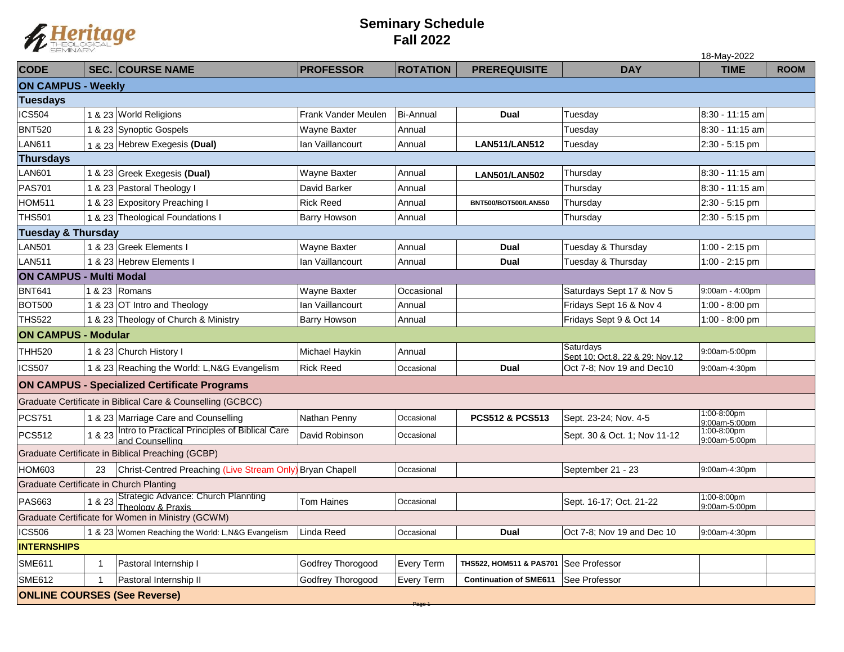

## **Seminary Schedule Fall 2022**

|                                                     |             |                                                                          |                     |                   |                               |                                              | 18-May-2022                  |             |  |  |  |  |
|-----------------------------------------------------|-------------|--------------------------------------------------------------------------|---------------------|-------------------|-------------------------------|----------------------------------------------|------------------------------|-------------|--|--|--|--|
| <b>CODE</b>                                         |             | <b>SEC. COURSE NAME</b>                                                  | <b>PROFESSOR</b>    | <b>ROTATION</b>   | <b>PREREQUISITE</b>           | <b>DAY</b>                                   | <b>TIME</b>                  | <b>ROOM</b> |  |  |  |  |
| <b>ON CAMPUS - Weekly</b>                           |             |                                                                          |                     |                   |                               |                                              |                              |             |  |  |  |  |
| <b>Tuesdays</b>                                     |             |                                                                          |                     |                   |                               |                                              |                              |             |  |  |  |  |
| <b>ICS504</b>                                       |             | 1 & 23 World Religions                                                   | Frank Vander Meulen | <b>Bi-Annual</b>  | <b>Dual</b>                   | Tuesday                                      | 8:30 - 11:15 am              |             |  |  |  |  |
| <b>BNT520</b>                                       |             | 1 & 23 Synoptic Gospels                                                  | Wayne Baxter        | Annual            |                               | Tuesday                                      | 8:30 - 11:15 am              |             |  |  |  |  |
| LAN611                                              |             | 1 & 23 Hebrew Exegesis (Dual)                                            | Ian Vaillancourt    | Annual            | <b>LAN511/LAN512</b>          | Tuesday                                      | 2:30 - 5:15 pm               |             |  |  |  |  |
| <b>Thursdays</b>                                    |             |                                                                          |                     |                   |                               |                                              |                              |             |  |  |  |  |
| <b>LAN601</b>                                       |             | 1 & 23 Greek Exegesis (Dual)                                             | Wayne Baxter        | Annual            | <b>LAN501/LAN502</b>          | Thursday                                     | 8:30 - 11:15 am              |             |  |  |  |  |
| <b>PAS701</b>                                       |             | 1 & 23 Pastoral Theology I                                               | David Barker        | Annual            |                               | Thursday                                     | 8:30 - 11:15 am              |             |  |  |  |  |
| HOM511                                              |             | 1 & 23 Expository Preaching I                                            | <b>Rick Reed</b>    | Annual            | BNT500/BOT500/LAN550          | Thursday                                     | 2:30 - 5:15 pm               |             |  |  |  |  |
| <b>THS501</b>                                       |             | 1 & 23 Theological Foundations I                                         | <b>Barry Howson</b> | Annual            |                               | Thursday                                     | 2:30 - 5:15 pm               |             |  |  |  |  |
| <b>Tuesday &amp; Thursday</b>                       |             |                                                                          |                     |                   |                               |                                              |                              |             |  |  |  |  |
| <b>LAN501</b>                                       |             | 1 & 23 Greek Elements I                                                  | Wayne Baxter        | Annual            | <b>Dual</b>                   | Tuesday & Thursday                           | 1:00 - 2:15 pm               |             |  |  |  |  |
| <b>LAN511</b>                                       |             | 1 & 23 Hebrew Elements I                                                 | Ian Vaillancourt    | Annual            | <b>Dual</b>                   | Tuesday & Thursday                           | 1:00 - 2:15 pm               |             |  |  |  |  |
| <b>ON CAMPUS - Multi Modal</b>                      |             |                                                                          |                     |                   |                               |                                              |                              |             |  |  |  |  |
| <b>BNT641</b>                                       |             | 8.23 Romans                                                              | Wayne Baxter        | Occasional        |                               | Saturdays Sept 17 & Nov 5                    | 9:00am - 4:00pm              |             |  |  |  |  |
| <b>BOT500</b>                                       |             | 1 & 23 OT Intro and Theology                                             | Ian Vaillancourt    | Annual            |                               | Fridays Sept 16 & Nov 4                      | 1:00 - 8:00 pm               |             |  |  |  |  |
| <b>THS522</b>                                       |             | 1 & 23 Theology of Church & Ministry                                     | <b>Barry Howson</b> | Annual            |                               | Fridays Sept 9 & Oct 14                      | 1:00 - 8:00 pm               |             |  |  |  |  |
| <b>ON CAMPUS - Modular</b>                          |             |                                                                          |                     |                   |                               |                                              |                              |             |  |  |  |  |
| <b>THH520</b>                                       |             | 1 & 23 Church History I                                                  | Michael Haykin      | Annual            |                               | Saturdays<br>Sept 10; Oct.8, 22 & 29; Nov.12 | 9:00am-5:00pm                |             |  |  |  |  |
| <b>ICS507</b>                                       |             | 1 & 23 Reaching the World: L, N&G Evangelism                             | <b>Rick Reed</b>    | Occasional        | <b>Dual</b>                   | Oct 7-8: Nov 19 and Dec10                    | 9:00am-4:30pm                |             |  |  |  |  |
| <b>ON CAMPUS - Specialized Certificate Programs</b> |             |                                                                          |                     |                   |                               |                                              |                              |             |  |  |  |  |
|                                                     |             | Graduate Certificate in Biblical Care & Counselling (GCBCC)              |                     |                   |                               |                                              |                              |             |  |  |  |  |
| <b>PCS751</b>                                       |             | 1 & 23 Marriage Care and Counselling                                     | Nathan Penny        | Occasional        | PCS512 & PCS513               | Sept. 23-24; Nov. 4-5                        | 1:00-8:00pm<br>9:00am-5:00pm |             |  |  |  |  |
| <b>PCS512</b>                                       |             | 1 & 23 Intro to Practical Principles of Biblical Care<br>and Counselling | David Robinson      | Occasional        |                               | Sept. 30 & Oct. 1; Nov 11-12                 | 1:00-8:00pm<br>9:00am-5:00pm |             |  |  |  |  |
| Graduate Certificate in Biblical Preaching (GCBP)   |             |                                                                          |                     |                   |                               |                                              |                              |             |  |  |  |  |
| <b>HOM603</b>                                       | 23          | Christ-Centred Preaching (Live Stream Only) Bryan Chapell                |                     | Occasional        |                               | September 21 - 23                            | 9:00am-4:30pm                |             |  |  |  |  |
| Graduate Certificate in Church Planting             |             |                                                                          |                     |                   |                               |                                              |                              |             |  |  |  |  |
| <b>PAS663</b>                                       |             | 1 & 23 Strategic Advance: Church Plannting<br>Theology & Praxis          | Tom Haines          | Occasional        |                               | Sept. 16-17; Oct. 21-22                      | 1:00-8:00pm<br>9:00am-5:00pm |             |  |  |  |  |
|                                                     |             | Graduate Certificate for Women in Ministry (GCWM)                        |                     |                   |                               |                                              |                              |             |  |  |  |  |
| <b>ICS506</b>                                       |             | 1 & 23 Women Reaching the World: L, N&G Evangelism                       | Linda Reed          | Occasional        | <b>Dual</b>                   | Oct 7-8; Nov 19 and Dec 10                   | 9:00am-4:30pm                |             |  |  |  |  |
| <b>INTERNSHIPS</b>                                  |             |                                                                          |                     |                   |                               |                                              |                              |             |  |  |  |  |
| <b>SME611</b>                                       | $\mathbf 1$ | Pastoral Internship I                                                    | Godfrey Thorogood   | <b>Every Term</b> | THS522, HOM511 & PAS701       | <b>See Professor</b>                         |                              |             |  |  |  |  |
| <b>SME612</b>                                       |             | Pastoral Internship II                                                   | Godfrey Thorogood   | Every Term        | <b>Continuation of SME611</b> | See Professor                                |                              |             |  |  |  |  |
| <b>ONLINE COURSES (See Reverse)</b>                 |             |                                                                          |                     |                   |                               |                                              |                              |             |  |  |  |  |